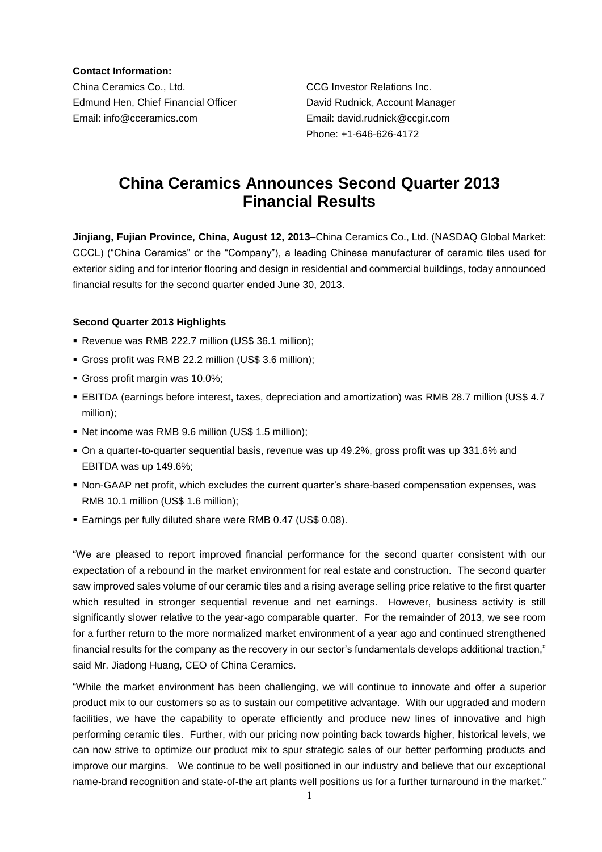**Contact Information:**

China Ceramics Co., Ltd. CCG Investor Relations Inc. Edmund Hen, Chief Financial Officer David Rudnick, Account Manager Email: info@cceramics.com Email: david.rudnick@ccgir.com

Phone: +1-646-626-4172

# **China Ceramics Announces Second Quarter 2013 Financial Results**

**Jinjiang, Fujian Province, China, August 12, 2013**–China Ceramics Co., Ltd. (NASDAQ Global Market: CCCL) ("China Ceramics" or the "Company"), a leading Chinese manufacturer of ceramic tiles used for exterior siding and for interior flooring and design in residential and commercial buildings, today announced financial results for the second quarter ended June 30, 2013.

### **Second Quarter 2013 Highlights**

- Revenue was RMB 222.7 million (US\$ 36.1 million);
- Gross profit was RMB 22.2 million (US\$ 3.6 million);
- Gross profit margin was 10.0%;
- EBITDA (earnings before interest, taxes, depreciation and amortization) was RMB 28.7 million (US\$ 4.7 million);
- Net income was RMB 9.6 million (US\$ 1.5 million);
- On a quarter-to-quarter sequential basis, revenue was up 49.2%, gross profit was up 331.6% and EBITDA was up 149.6%;
- Non-GAAP net profit, which excludes the current quarter's share-based compensation expenses, was RMB 10.1 million (US\$ 1.6 million);
- Earnings per fully diluted share were RMB 0.47 (US\$ 0.08).

"We are pleased to report improved financial performance for the second quarter consistent with our expectation of a rebound in the market environment for real estate and construction. The second quarter saw improved sales volume of our ceramic tiles and a rising average selling price relative to the first quarter which resulted in stronger sequential revenue and net earnings. However, business activity is still significantly slower relative to the year-ago comparable quarter. For the remainder of 2013, we see room for a further return to the more normalized market environment of a year ago and continued strengthened financial results for the company as the recovery in our sector's fundamentals develops additional traction," said Mr. Jiadong Huang, CEO of China Ceramics.

"While the market environment has been challenging, we will continue to innovate and offer a superior product mix to our customers so as to sustain our competitive advantage. With our upgraded and modern facilities, we have the capability to operate efficiently and produce new lines of innovative and high performing ceramic tiles. Further, with our pricing now pointing back towards higher, historical levels, we can now strive to optimize our product mix to spur strategic sales of our better performing products and improve our margins. We continue to be well positioned in our industry and believe that our exceptional name-brand recognition and state-of-the art plants well positions us for a further turnaround in the market."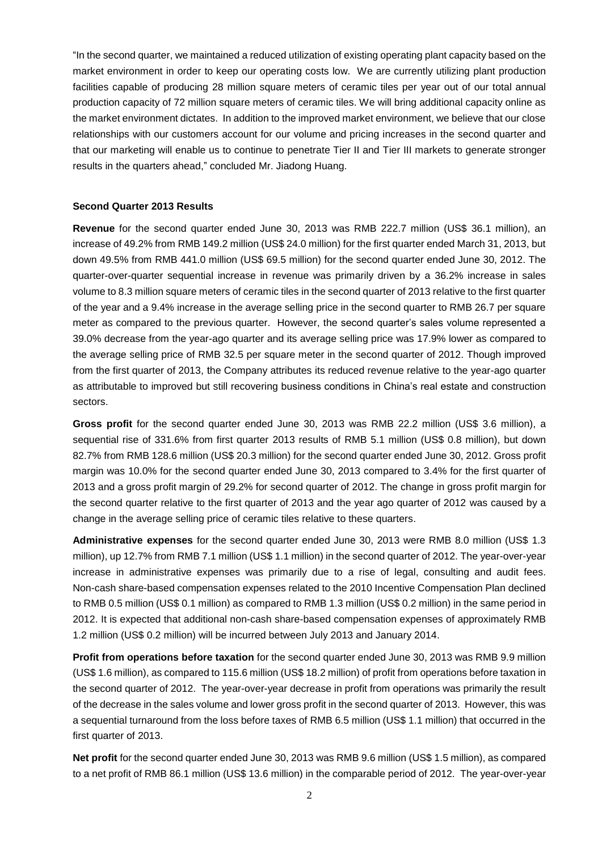"In the second quarter, we maintained a reduced utilization of existing operating plant capacity based on the market environment in order to keep our operating costs low. We are currently utilizing plant production facilities capable of producing 28 million square meters of ceramic tiles per year out of our total annual production capacity of 72 million square meters of ceramic tiles. We will bring additional capacity online as the market environment dictates. In addition to the improved market environment, we believe that our close relationships with our customers account for our volume and pricing increases in the second quarter and that our marketing will enable us to continue to penetrate Tier II and Tier III markets to generate stronger results in the quarters ahead," concluded Mr. Jiadong Huang.

### **Second Quarter 2013 Results**

**Revenue** for the second quarter ended June 30, 2013 was RMB 222.7 million (US\$ 36.1 million), an increase of 49.2% from RMB 149.2 million (US\$ 24.0 million) for the first quarter ended March 31, 2013, but down 49.5% from RMB 441.0 million (US\$ 69.5 million) for the second quarter ended June 30, 2012. The quarter-over-quarter sequential increase in revenue was primarily driven by a 36.2% increase in sales volume to 8.3 million square meters of ceramic tiles in the second quarter of 2013 relative to the first quarter of the year and a 9.4% increase in the average selling price in the second quarter to RMB 26.7 per square meter as compared to the previous quarter. However, the second quarter's sales volume represented a 39.0% decrease from the year-ago quarter and its average selling price was 17.9% lower as compared to the average selling price of RMB 32.5 per square meter in the second quarter of 2012. Though improved from the first quarter of 2013, the Company attributes its reduced revenue relative to the year-ago quarter as attributable to improved but still recovering business conditions in China's real estate and construction sectors.

**Gross profit** for the second quarter ended June 30, 2013 was RMB 22.2 million (US\$ 3.6 million), a sequential rise of 331.6% from first quarter 2013 results of RMB 5.1 million (US\$ 0.8 million), but down 82.7% from RMB 128.6 million (US\$ 20.3 million) for the second quarter ended June 30, 2012. Gross profit margin was 10.0% for the second quarter ended June 30, 2013 compared to 3.4% for the first quarter of 2013 and a gross profit margin of 29.2% for second quarter of 2012. The change in gross profit margin for the second quarter relative to the first quarter of 2013 and the year ago quarter of 2012 was caused by a change in the average selling price of ceramic tiles relative to these quarters.

**Administrative expenses** for the second quarter ended June 30, 2013 were RMB 8.0 million (US\$ 1.3 million), up 12.7% from RMB 7.1 million (US\$ 1.1 million) in the second quarter of 2012. The year-over-year increase in administrative expenses was primarily due to a rise of legal, consulting and audit fees. Non-cash share-based compensation expenses related to the 2010 Incentive Compensation Plan declined to RMB 0.5 million (US\$ 0.1 million) as compared to RMB 1.3 million (US\$ 0.2 million) in the same period in 2012. It is expected that additional non-cash share-based compensation expenses of approximately RMB 1.2 million (US\$ 0.2 million) will be incurred between July 2013 and January 2014.

**Profit from operations before taxation** for the second quarter ended June 30, 2013 was RMB 9.9 million (US\$ 1.6 million), as compared to 115.6 million (US\$ 18.2 million) of profit from operations before taxation in the second quarter of 2012. The year-over-year decrease in profit from operations was primarily the result of the decrease in the sales volume and lower gross profit in the second quarter of 2013. However, this was a sequential turnaround from the loss before taxes of RMB 6.5 million (US\$ 1.1 million) that occurred in the first quarter of 2013.

**Net profit** for the second quarter ended June 30, 2013 was RMB 9.6 million (US\$ 1.5 million), as compared to a net profit of RMB 86.1 million (US\$ 13.6 million) in the comparable period of 2012. The year-over-year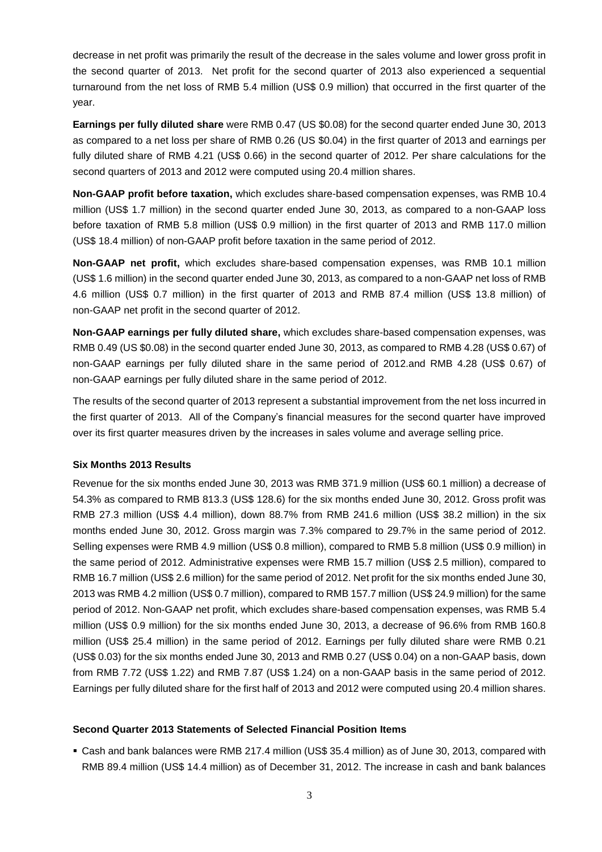decrease in net profit was primarily the result of the decrease in the sales volume and lower gross profit in the second quarter of 2013. Net profit for the second quarter of 2013 also experienced a sequential turnaround from the net loss of RMB 5.4 million (US\$ 0.9 million) that occurred in the first quarter of the year.

**Earnings per fully diluted share** were RMB 0.47 (US \$0.08) for the second quarter ended June 30, 2013 as compared to a net loss per share of RMB 0.26 (US \$0.04) in the first quarter of 2013 and earnings per fully diluted share of RMB 4.21 (US\$ 0.66) in the second quarter of 2012. Per share calculations for the second quarters of 2013 and 2012 were computed using 20.4 million shares.

**Non-GAAP profit before taxation,** which excludes share-based compensation expenses, was RMB 10.4 million (US\$ 1.7 million) in the second quarter ended June 30, 2013, as compared to a non-GAAP loss before taxation of RMB 5.8 million (US\$ 0.9 million) in the first quarter of 2013 and RMB 117.0 million (US\$ 18.4 million) of non-GAAP profit before taxation in the same period of 2012.

**Non-GAAP net profit,** which excludes share-based compensation expenses, was RMB 10.1 million (US\$ 1.6 million) in the second quarter ended June 30, 2013, as compared to a non-GAAP net loss of RMB 4.6 million (US\$ 0.7 million) in the first quarter of 2013 and RMB 87.4 million (US\$ 13.8 million) of non-GAAP net profit in the second quarter of 2012.

**Non-GAAP earnings per fully diluted share,** which excludes share-based compensation expenses, was RMB 0.49 (US \$0.08) in the second quarter ended June 30, 2013, as compared to RMB 4.28 (US\$ 0.67) of non-GAAP earnings per fully diluted share in the same period of 2012.and RMB 4.28 (US\$ 0.67) of non-GAAP earnings per fully diluted share in the same period of 2012.

The results of the second quarter of 2013 represent a substantial improvement from the net loss incurred in the first quarter of 2013. All of the Company's financial measures for the second quarter have improved over its first quarter measures driven by the increases in sales volume and average selling price.

## **Six Months 2013 Results**

Revenue for the six months ended June 30, 2013 was RMB 371.9 million (US\$ 60.1 million) a decrease of 54.3% as compared to RMB 813.3 (US\$ 128.6) for the six months ended June 30, 2012. Gross profit was RMB 27.3 million (US\$ 4.4 million), down 88.7% from RMB 241.6 million (US\$ 38.2 million) in the six months ended June 30, 2012. Gross margin was 7.3% compared to 29.7% in the same period of 2012. Selling expenses were RMB 4.9 million (US\$ 0.8 million), compared to RMB 5.8 million (US\$ 0.9 million) in the same period of 2012. Administrative expenses were RMB 15.7 million (US\$ 2.5 million), compared to RMB 16.7 million (US\$ 2.6 million) for the same period of 2012. Net profit for the six months ended June 30, 2013 was RMB 4.2 million (US\$ 0.7 million), compared to RMB 157.7 million (US\$ 24.9 million) for the same period of 2012. Non-GAAP net profit, which excludes share-based compensation expenses, was RMB 5.4 million (US\$ 0.9 million) for the six months ended June 30, 2013, a decrease of 96.6% from RMB 160.8 million (US\$ 25.4 million) in the same period of 2012. Earnings per fully diluted share were RMB 0.21 (US\$ 0.03) for the six months ended June 30, 2013 and RMB 0.27 (US\$ 0.04) on a non-GAAP basis, down from RMB 7.72 (US\$ 1.22) and RMB 7.87 (US\$ 1.24) on a non-GAAP basis in the same period of 2012. Earnings per fully diluted share for the first half of 2013 and 2012 were computed using 20.4 million shares.

### **Second Quarter 2013 Statements of Selected Financial Position Items**

 Cash and bank balances were RMB 217.4 million (US\$ 35.4 million) as of June 30, 2013, compared with RMB 89.4 million (US\$ 14.4 million) as of December 31, 2012. The increase in cash and bank balances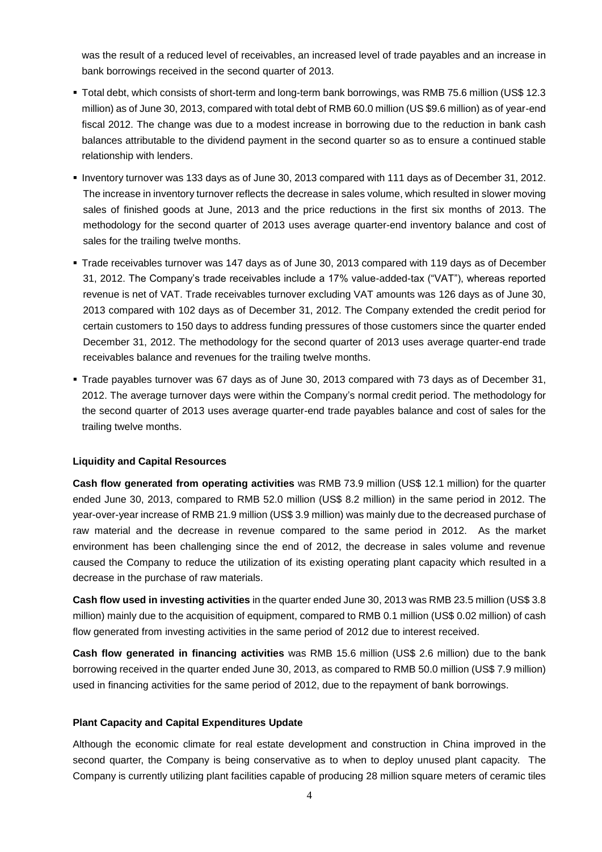was the result of a reduced level of receivables, an increased level of trade payables and an increase in bank borrowings received in the second quarter of 2013.

- Total debt, which consists of short-term and long-term bank borrowings, was RMB 75.6 million (US\$ 12.3 million) as of June 30, 2013, compared with total debt of RMB 60.0 million (US \$9.6 million) as of year-end fiscal 2012. The change was due to a modest increase in borrowing due to the reduction in bank cash balances attributable to the dividend payment in the second quarter so as to ensure a continued stable relationship with lenders.
- Inventory turnover was 133 days as of June 30, 2013 compared with 111 days as of December 31, 2012. The increase in inventory turnover reflects the decrease in sales volume, which resulted in slower moving sales of finished goods at June, 2013 and the price reductions in the first six months of 2013. The methodology for the second quarter of 2013 uses average quarter-end inventory balance and cost of sales for the trailing twelve months.
- Trade receivables turnover was 147 days as of June 30, 2013 compared with 119 days as of December 31, 2012. The Company's trade receivables include a 17% value-added-tax ("VAT"), whereas reported revenue is net of VAT. Trade receivables turnover excluding VAT amounts was 126 days as of June 30, 2013 compared with 102 days as of December 31, 2012. The Company extended the credit period for certain customers to 150 days to address funding pressures of those customers since the quarter ended December 31, 2012. The methodology for the second quarter of 2013 uses average quarter-end trade receivables balance and revenues for the trailing twelve months.
- Trade payables turnover was 67 days as of June 30, 2013 compared with 73 days as of December 31, 2012. The average turnover days were within the Company's normal credit period. The methodology for the second quarter of 2013 uses average quarter-end trade payables balance and cost of sales for the trailing twelve months.

### **Liquidity and Capital Resources**

**Cash flow generated from operating activities** was RMB 73.9 million (US\$ 12.1 million) for the quarter ended June 30, 2013, compared to RMB 52.0 million (US\$ 8.2 million) in the same period in 2012. The year-over-year increase of RMB 21.9 million (US\$ 3.9 million) was mainly due to the decreased purchase of raw material and the decrease in revenue compared to the same period in 2012. As the market environment has been challenging since the end of 2012, the decrease in sales volume and revenue caused the Company to reduce the utilization of its existing operating plant capacity which resulted in a decrease in the purchase of raw materials.

**Cash flow used in investing activities** in the quarter ended June 30, 2013 was RMB 23.5 million (US\$ 3.8 million) mainly due to the acquisition of equipment, compared to RMB 0.1 million (US\$ 0.02 million) of cash flow generated from investing activities in the same period of 2012 due to interest received.

**Cash flow generated in financing activities** was RMB 15.6 million (US\$ 2.6 million) due to the bank borrowing received in the quarter ended June 30, 2013, as compared to RMB 50.0 million (US\$ 7.9 million) used in financing activities for the same period of 2012, due to the repayment of bank borrowings.

#### **Plant Capacity and Capital Expenditures Update**

Although the economic climate for real estate development and construction in China improved in the second quarter, the Company is being conservative as to when to deploy unused plant capacity. The Company is currently utilizing plant facilities capable of producing 28 million square meters of ceramic tiles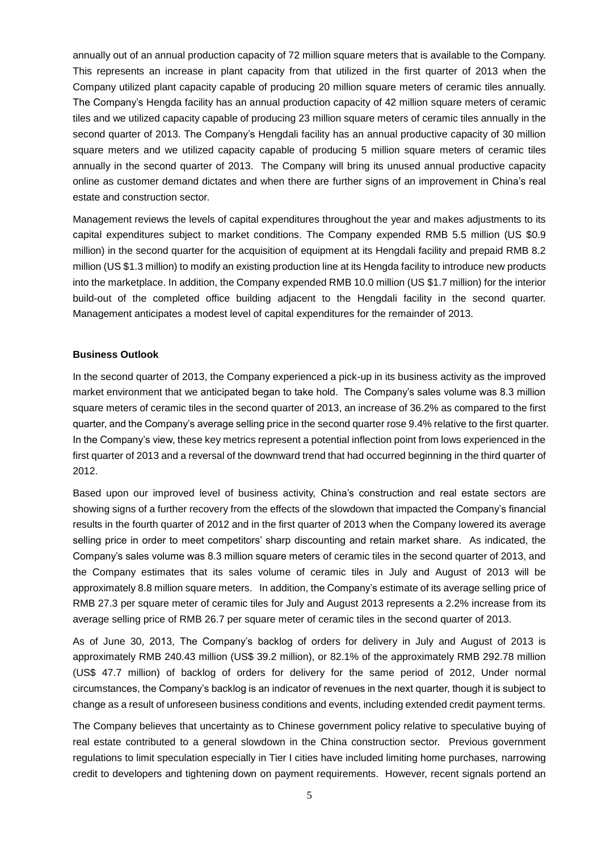annually out of an annual production capacity of 72 million square meters that is available to the Company. This represents an increase in plant capacity from that utilized in the first quarter of 2013 when the Company utilized plant capacity capable of producing 20 million square meters of ceramic tiles annually. The Company's Hengda facility has an annual production capacity of 42 million square meters of ceramic tiles and we utilized capacity capable of producing 23 million square meters of ceramic tiles annually in the second quarter of 2013. The Company's Hengdali facility has an annual productive capacity of 30 million square meters and we utilized capacity capable of producing 5 million square meters of ceramic tiles annually in the second quarter of 2013. The Company will bring its unused annual productive capacity online as customer demand dictates and when there are further signs of an improvement in China's real estate and construction sector.

Management reviews the levels of capital expenditures throughout the year and makes adjustments to its capital expenditures subject to market conditions. The Company expended RMB 5.5 million (US \$0.9 million) in the second quarter for the acquisition of equipment at its Hengdali facility and prepaid RMB 8.2 million (US \$1.3 million) to modify an existing production line at its Hengda facility to introduce new products into the marketplace. In addition, the Company expended RMB 10.0 million (US \$1.7 million) for the interior build-out of the completed office building adjacent to the Hengdali facility in the second quarter. Management anticipates a modest level of capital expenditures for the remainder of 2013.

### **Business Outlook**

In the second quarter of 2013, the Company experienced a pick-up in its business activity as the improved market environment that we anticipated began to take hold. The Company's sales volume was 8.3 million square meters of ceramic tiles in the second quarter of 2013, an increase of 36.2% as compared to the first quarter, and the Company's average selling price in the second quarter rose 9.4% relative to the first quarter. In the Company's view, these key metrics represent a potential inflection point from lows experienced in the first quarter of 2013 and a reversal of the downward trend that had occurred beginning in the third quarter of 2012.

Based upon our improved level of business activity, China's construction and real estate sectors are showing signs of a further recovery from the effects of the slowdown that impacted the Company's financial results in the fourth quarter of 2012 and in the first quarter of 2013 when the Company lowered its average selling price in order to meet competitors' sharp discounting and retain market share. As indicated, the Company's sales volume was 8.3 million square meters of ceramic tiles in the second quarter of 2013, and the Company estimates that its sales volume of ceramic tiles in July and August of 2013 will be approximately 8.8 million square meters. In addition, the Company's estimate of its average selling price of RMB 27.3 per square meter of ceramic tiles for July and August 2013 represents a 2.2% increase from its average selling price of RMB 26.7 per square meter of ceramic tiles in the second quarter of 2013.

As of June 30, 2013, The Company's backlog of orders for delivery in July and August of 2013 is approximately RMB 240.43 million (US\$ 39.2 million), or 82.1% of the approximately RMB 292.78 million (US\$ 47.7 million) of backlog of orders for delivery for the same period of 2012, Under normal circumstances, the Company's backlog is an indicator of revenues in the next quarter, though it is subject to change as a result of unforeseen business conditions and events, including extended credit payment terms.

The Company believes that uncertainty as to Chinese government policy relative to speculative buying of real estate contributed to a general slowdown in the China construction sector. Previous government regulations to limit speculation especially in Tier I cities have included limiting home purchases, narrowing credit to developers and tightening down on payment requirements. However, recent signals portend an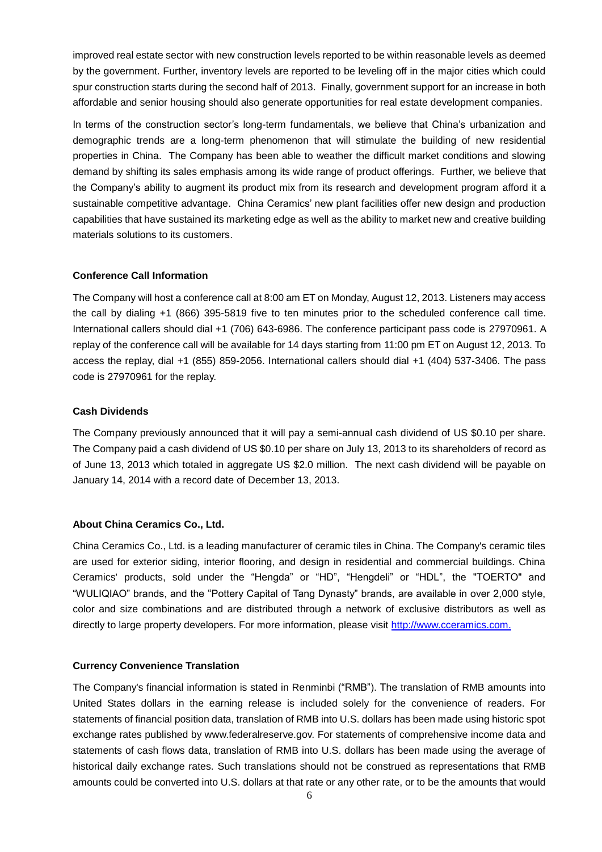improved real estate sector with new construction levels reported to be within reasonable levels as deemed by the government. Further, inventory levels are reported to be leveling off in the major cities which could spur construction starts during the second half of 2013. Finally, government support for an increase in both affordable and senior housing should also generate opportunities for real estate development companies.

In terms of the construction sector's long-term fundamentals, we believe that China's urbanization and demographic trends are a long-term phenomenon that will stimulate the building of new residential properties in China. The Company has been able to weather the difficult market conditions and slowing demand by shifting its sales emphasis among its wide range of product offerings. Further, we believe that the Company's ability to augment its product mix from its research and development program afford it a sustainable competitive advantage. China Ceramics' new plant facilities offer new design and production capabilities that have sustained its marketing edge as well as the ability to market new and creative building materials solutions to its customers.

### **Conference Call Information**

The Company will host a conference call at 8:00 am ET on Monday, August 12, 2013. Listeners may access the call by dialing +1 (866) 395-5819 five to ten minutes prior to the scheduled conference call time. International callers should dial +1 (706) 643-6986. The conference participant pass code is 27970961. A replay of the conference call will be available for 14 days starting from 11:00 pm ET on August 12, 2013. To access the replay, dial +1 (855) 859-2056. International callers should dial +1 (404) 537-3406. The pass code is 27970961 for the replay.

### **Cash Dividends**

The Company previously announced that it will pay a semi-annual cash dividend of US \$0.10 per share. The Company paid a cash dividend of US \$0.10 per share on July 13, 2013 to its shareholders of record as of June 13, 2013 which totaled in aggregate US \$2.0 million. The next cash dividend will be payable on January 14, 2014 with a record date of December 13, 2013.

## **About China Ceramics Co., Ltd.**

China Ceramics Co., Ltd. is a leading manufacturer of ceramic tiles in China. The Company's ceramic tiles are used for exterior siding, interior flooring, and design in residential and commercial buildings. China Ceramics' products, sold under the "Hengda" or "HD", "Hengdeli" or "HDL", the "TOERTO" and "WULIQIAO" brands, and the "Pottery Capital of Tang Dynasty" brands, are available in over 2,000 style, color and size combinations and are distributed through a network of exclusive distributors as well as directly to large property developers. For more information, please visit [http://www.cceramics.com.](http://www.cceramics.com/)

### **Currency Convenience Translation**

The Company's financial information is stated in Renminbi ("RMB"). The translation of RMB amounts into United States dollars in the earning release is included solely for the convenience of readers. For statements of financial position data, translation of RMB into U.S. dollars has been made using historic spot exchange rates published by www.federalreserve.gov. For statements of comprehensive income data and statements of cash flows data, translation of RMB into U.S. dollars has been made using the average of historical daily exchange rates. Such translations should not be construed as representations that RMB amounts could be converted into U.S. dollars at that rate or any other rate, or to be the amounts that would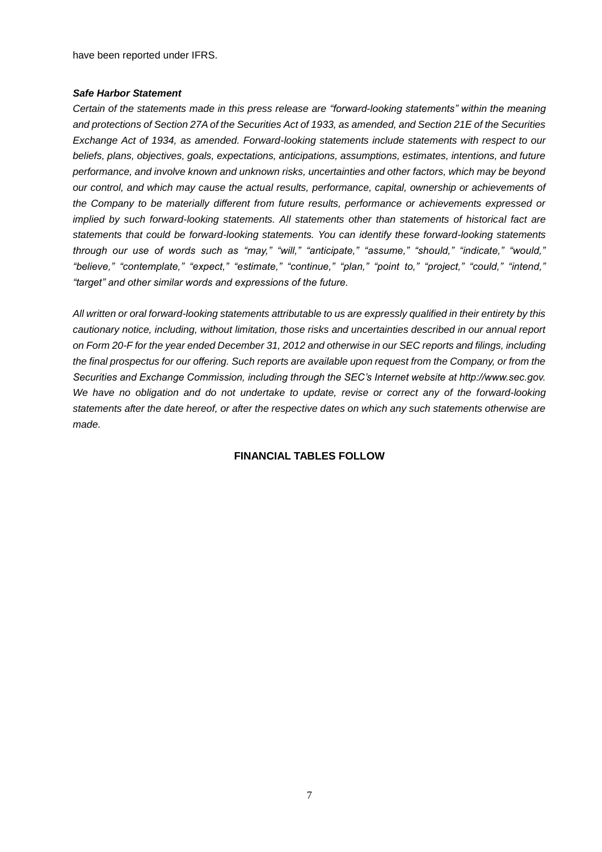have been reported under IFRS.

### *Safe Harbor Statement*

*Certain of the statements made in this press release are "forward-looking statements" within the meaning and protections of Section 27A of the Securities Act of 1933, as amended, and Section 21E of the Securities Exchange Act of 1934, as amended. Forward-looking statements include statements with respect to our beliefs, plans, objectives, goals, expectations, anticipations, assumptions, estimates, intentions, and future performance, and involve known and unknown risks, uncertainties and other factors, which may be beyond our control, and which may cause the actual results, performance, capital, ownership or achievements of the Company to be materially different from future results, performance or achievements expressed or implied by such forward-looking statements. All statements other than statements of historical fact are statements that could be forward-looking statements. You can identify these forward-looking statements through our use of words such as "may," "will," "anticipate," "assume," "should," "indicate," "would," "believe," "contemplate," "expect," "estimate," "continue," "plan," "point to," "project," "could," "intend," "target" and other similar words and expressions of the future.* 

*All written or oral forward-looking statements attributable to us are expressly qualified in their entirety by this cautionary notice, including, without limitation, those risks and uncertainties described in our annual report on Form 20-F for the year ended December 31, 2012 and otherwise in our SEC reports and filings, including the final prospectus for our offering. Such reports are available upon request from the Company, or from the Securities and Exchange Commission, including through the SEC's Internet website at http://www.sec.gov. We have no obligation and do not undertake to update, revise or correct any of the forward-looking statements after the date hereof, or after the respective dates on which any such statements otherwise are made.*

## **FINANCIAL TABLES FOLLOW**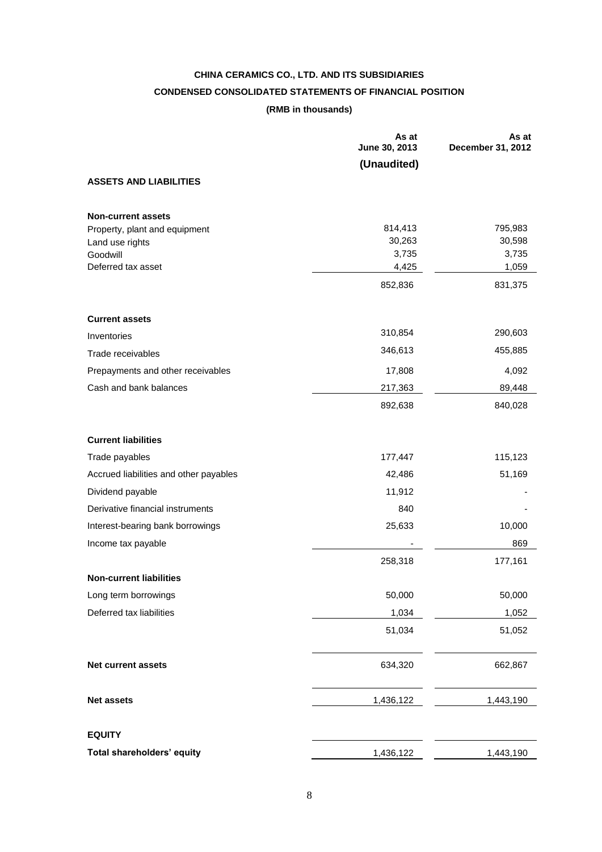# **CHINA CERAMICS CO., LTD. AND ITS SUBSIDIARIES CONDENSED CONSOLIDATED STATEMENTS OF FINANCIAL POSITION (RMB in thousands)**

|                                        | As at<br>June 30, 2013 | As at<br>December 31, 2012 |
|----------------------------------------|------------------------|----------------------------|
|                                        | (Unaudited)            |                            |
| <b>ASSETS AND LIABILITIES</b>          |                        |                            |
| <b>Non-current assets</b>              |                        |                            |
| Property, plant and equipment          | 814,413                | 795,983                    |
| Land use rights<br>Goodwill            | 30,263<br>3,735        | 30,598<br>3,735            |
| Deferred tax asset                     | 4,425                  | 1,059                      |
|                                        | 852,836                | 831,375                    |
| <b>Current assets</b>                  |                        |                            |
| Inventories                            | 310,854                | 290,603                    |
| Trade receivables                      | 346,613                | 455,885                    |
| Prepayments and other receivables      | 17,808                 | 4,092                      |
| Cash and bank balances                 | 217,363                | 89,448                     |
|                                        | 892,638                | 840,028                    |
| <b>Current liabilities</b>             |                        |                            |
| Trade payables                         | 177,447                | 115,123                    |
| Accrued liabilities and other payables | 42,486                 | 51,169                     |
| Dividend payable                       | 11,912                 |                            |
| Derivative financial instruments       | 840                    |                            |
| Interest-bearing bank borrowings       | 25,633                 | 10,000                     |
| Income tax payable                     |                        | 869                        |
|                                        | 258,318                | 177,161                    |
| <b>Non-current liabilities</b>         |                        |                            |
| Long term borrowings                   | 50,000                 | 50,000                     |
| Deferred tax liabilities               | 1,034                  | 1,052                      |
|                                        | 51,034                 | 51,052                     |
| Net current assets                     | 634,320                | 662,867                    |
| <b>Net assets</b>                      | 1,436,122              | 1,443,190                  |
| <b>EQUITY</b>                          |                        |                            |
| Total shareholders' equity             | 1,436,122              | 1,443,190                  |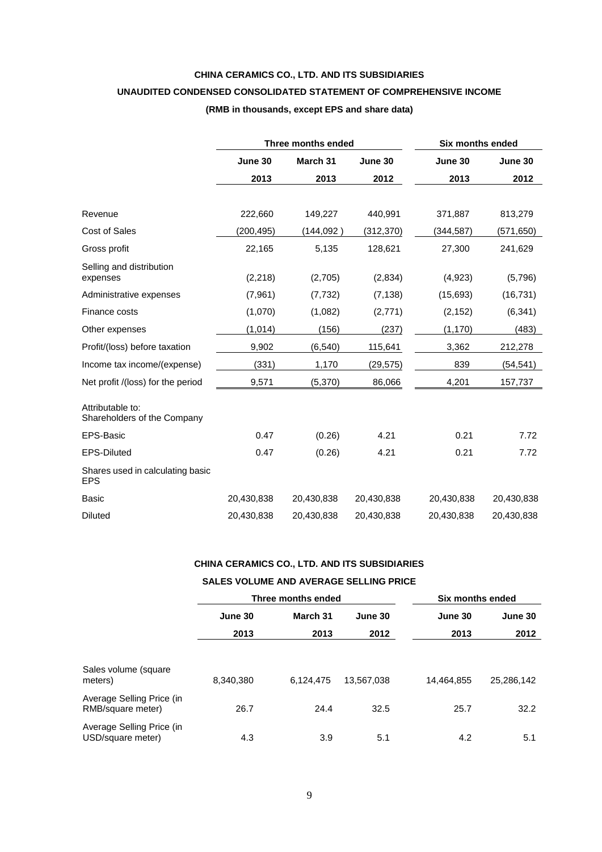# **CHINA CERAMICS CO., LTD. AND ITS SUBSIDIARIES UNAUDITED CONDENSED CONSOLIDATED STATEMENT OF COMPREHENSIVE INCOME (RMB in thousands, except EPS and share data)**

|                                                 |            | Three months ended | <b>Six months ended</b> |            |            |
|-------------------------------------------------|------------|--------------------|-------------------------|------------|------------|
|                                                 | June 30    | March 31           | June 30                 | June 30    | June 30    |
|                                                 | 2013       | 2013               | 2012                    | 2013       | 2012       |
|                                                 |            |                    |                         |            |            |
| Revenue                                         | 222,660    | 149,227            | 440,991                 | 371,887    | 813,279    |
| <b>Cost of Sales</b>                            | (200,495)  | (144,092 )         | (312, 370)              | (344, 587) | (571,650)  |
| Gross profit                                    | 22,165     | 5,135              | 128,621                 | 27,300     | 241,629    |
| Selling and distribution<br>expenses            | (2, 218)   | (2,705)            | (2,834)                 | (4,923)    | (5,796)    |
| Administrative expenses                         | (7,961)    | (7, 732)           | (7, 138)                | (15,693)   | (16, 731)  |
| Finance costs                                   | (1,070)    | (1,082)            | (2,771)                 | (2, 152)   | (6, 341)   |
| Other expenses                                  | (1, 014)   | (156)              | (237)                   | (1, 170)   | (483)      |
| Profit/(loss) before taxation                   | 9,902      | (6, 540)           | 115,641                 | 3,362      | 212,278    |
| Income tax income/(expense)                     | (331)      | 1,170              | (29,575)                | 839        | (54, 541)  |
| Net profit /(loss) for the period               | 9,571      | (5,370)            | 86,066                  | 4,201      | 157,737    |
| Attributable to:<br>Shareholders of the Company |            |                    |                         |            |            |
| <b>EPS-Basic</b>                                | 0.47       | (0.26)             | 4.21                    | 0.21       | 7.72       |
| <b>EPS-Diluted</b>                              | 0.47       | (0.26)             | 4.21                    | 0.21       | 7.72       |
| Shares used in calculating basic<br><b>EPS</b>  |            |                    |                         |            |            |
| Basic                                           | 20,430,838 | 20,430,838         | 20,430,838              | 20,430,838 | 20,430,838 |
| Diluted                                         | 20,430,838 | 20,430,838         | 20,430,838              | 20,430,838 | 20,430,838 |

# **CHINA CERAMICS CO., LTD. AND ITS SUBSIDIARIES**

## **SALES VOLUME AND AVERAGE SELLING PRICE**

|                                                |           | Three months ended | Six months ended |            |            |  |
|------------------------------------------------|-----------|--------------------|------------------|------------|------------|--|
|                                                | June 30   | March 31           | June 30          | June 30    | June 30    |  |
|                                                | 2013      | 2013               | 2012             | 2013       | 2012       |  |
|                                                |           |                    |                  |            |            |  |
| Sales volume (square<br>meters)                | 8,340,380 | 6,124,475          | 13,567,038       | 14,464,855 | 25,286,142 |  |
| Average Selling Price (in<br>RMB/square meter) | 26.7      | 24.4               | 32.5             | 25.7       | 32.2       |  |
| Average Selling Price (in<br>USD/square meter) | 4.3       | 3.9                | 5.1              | 4.2        | 5.1        |  |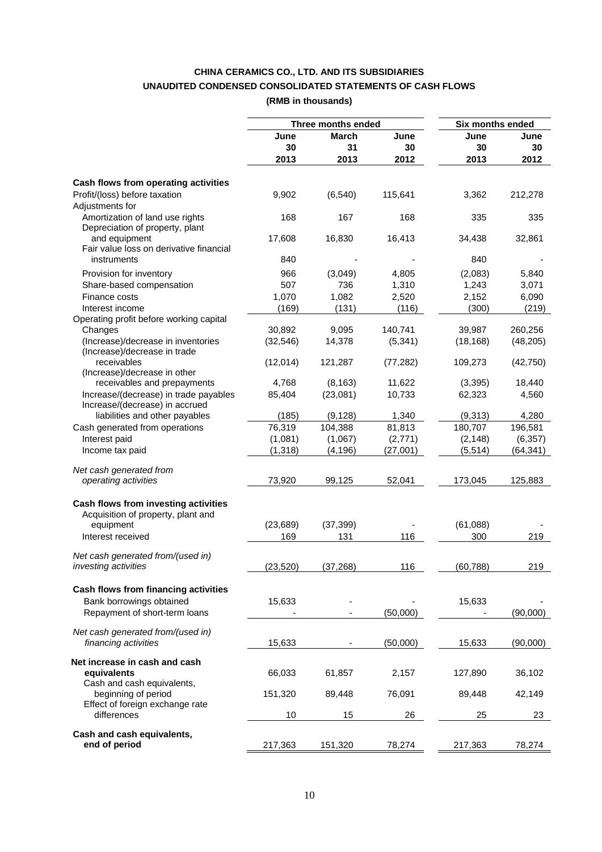# **CHINA CERAMICS CO., LTD. AND ITS SUBSIDIARIES UNAUDITED CONDENSED CONSOLIDATED STATEMENTS OF CASH FLOWS (RMB in thousands)**

|                                                                    |           | Three months ended |           | <b>Six months ended</b> |           |
|--------------------------------------------------------------------|-----------|--------------------|-----------|-------------------------|-----------|
|                                                                    | June      | <b>March</b>       | June      | June                    | June      |
|                                                                    | 30        | 31                 | 30        | 30                      | 30        |
|                                                                    | 2013      | 2013               | 2012      | 2013                    | 2012      |
| Cash flows from operating activities                               |           |                    |           |                         |           |
| Profit/(loss) before taxation                                      | 9,902     | (6, 540)           | 115,641   | 3,362                   | 212,278   |
| Adjustments for                                                    |           |                    |           |                         |           |
| Amortization of land use rights<br>Depreciation of property, plant | 168       | 167                | 168       | 335                     | 335       |
| and equipment                                                      | 17,608    | 16,830             | 16,413    | 34,438                  | 32,861    |
| Fair value loss on derivative financial<br>instruments             | 840       |                    |           | 840                     |           |
| Provision for inventory                                            | 966       | (3,049)            | 4,805     | (2,083)                 | 5,840     |
| Share-based compensation                                           | 507       | 736                | 1,310     | 1,243                   | 3,071     |
| Finance costs                                                      |           |                    |           |                         |           |
|                                                                    | 1,070     | 1,082              | 2,520     | 2,152                   | 6,090     |
| Interest income                                                    | (169)     | (131)              | (116)     | (300)                   | (219)     |
| Operating profit before working capital                            | 30,892    |                    |           |                         |           |
| Changes                                                            |           | 9,095              | 140,741   | 39,987                  | 260,256   |
| (Increase)/decrease in inventories<br>(Increase)/decrease in trade | (32, 546) | 14,378             | (5, 341)  | (18, 168)               | (48, 205) |
| receivables                                                        | (12,014)  | 121,287            | (77, 282) | 109,273                 | (42, 750) |
| (Increase)/decrease in other<br>receivables and prepayments        | 4,768     | (8, 163)           | 11,622    | (3, 395)                | 18,440    |
| Increase/(decrease) in trade payables                              | 85,404    | (23,081)           | 10,733    | 62,323                  | 4,560     |
| Increase/(decrease) in accrued                                     |           |                    |           |                         |           |
| liabilities and other payables                                     | (185)     | (9, 128)           | 1,340     | (9,313)                 | 4,280     |
| Cash generated from operations                                     | 76,319    | 104,388            | 81,813    | 180,707                 | 196,581   |
| Interest paid                                                      | (1,081)   | (1,067)            | (2,771)   | (2, 148)                | (6, 357)  |
| Income tax paid                                                    | (1,318)   | (4, 196)           | (27,001)  | (5, 514)                | (64, 341) |
| Net cash generated from                                            |           |                    |           |                         |           |
| operating activities                                               | 73,920    | 99,125             | 52,041    | 173,045                 | 125,883   |
|                                                                    |           |                    |           |                         |           |
| Cash flows from investing activities                               |           |                    |           |                         |           |
| Acquisition of property, plant and                                 |           |                    |           |                         |           |
| equipment                                                          | (23, 689) | (37, 399)          |           | (61,088)                |           |
| Interest received                                                  | 169       | 131                | 116       | 300                     | 219       |
| Net cash generated from/(used in)                                  |           |                    |           |                         |           |
| <i>investing activities</i>                                        | (23,520)  | (37,268)           | 116       | (60,788)                | 219       |
|                                                                    |           |                    |           |                         |           |
| Cash flows from financing activities                               |           |                    |           |                         |           |
| Bank borrowings obtained                                           | 15,633    |                    |           | 15,633                  |           |
| Repayment of short-term loans                                      |           |                    | (50,000)  |                         | (90,000)  |
| Net cash generated from/(used in)                                  |           |                    |           |                         |           |
| financing activities                                               | 15,633    |                    | (50,000)  | 15,633                  | (90,000)  |
|                                                                    |           |                    |           |                         |           |
| Net increase in cash and cash                                      |           |                    |           |                         |           |
| equivalents                                                        | 66,033    | 61,857             | 2,157     | 127,890                 | 36,102    |
| Cash and cash equivalents,                                         |           |                    |           |                         |           |
| beginning of period                                                | 151,320   | 89,448             | 76,091    | 89,448                  | 42,149    |
| Effect of foreign exchange rate                                    |           |                    |           |                         |           |
| differences                                                        | 10        | 15                 | 26        | 25                      | 23        |
| Cash and cash equivalents,                                         |           |                    |           |                         |           |
| end of period                                                      | 217,363   | 151,320            | 78,274    | 217,363                 | 78,274    |
|                                                                    |           |                    |           |                         |           |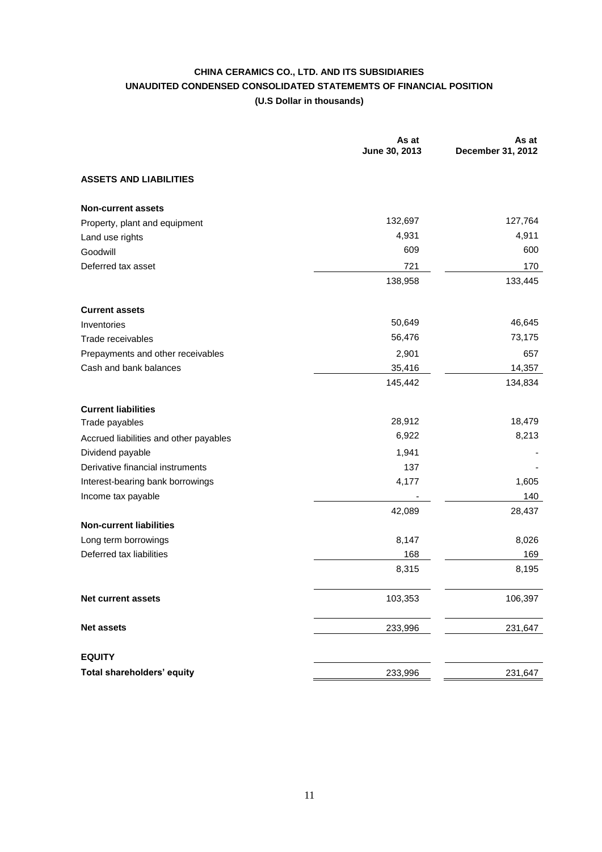# **CHINA CERAMICS CO., LTD. AND ITS SUBSIDIARIES UNAUDITED CONDENSED CONSOLIDATED STATEMEMTS OF FINANCIAL POSITION (U.S Dollar in thousands)**

|                                        | As at<br>June 30, 2013 | As at<br>December 31, 2012 |
|----------------------------------------|------------------------|----------------------------|
| <b>ASSETS AND LIABILITIES</b>          |                        |                            |
| <b>Non-current assets</b>              |                        |                            |
| Property, plant and equipment          | 132,697                | 127,764                    |
| Land use rights                        | 4,931                  | 4,911                      |
| Goodwill                               | 609                    | 600                        |
| Deferred tax asset                     | 721                    | 170                        |
|                                        | 138,958                | 133,445                    |
| <b>Current assets</b>                  |                        |                            |
| Inventories                            | 50,649                 | 46,645                     |
| Trade receivables                      | 56,476                 | 73,175                     |
| Prepayments and other receivables      | 2,901                  | 657                        |
| Cash and bank balances                 | 35,416                 | 14,357                     |
|                                        | 145,442                | 134,834                    |
| <b>Current liabilities</b>             |                        |                            |
| Trade payables                         | 28,912                 | 18,479                     |
| Accrued liabilities and other payables | 6,922                  | 8,213                      |
| Dividend payable                       | 1,941                  |                            |
| Derivative financial instruments       | 137                    |                            |
| Interest-bearing bank borrowings       | 4,177                  | 1,605                      |
| Income tax payable                     |                        | 140                        |
|                                        | 42,089                 | 28,437                     |
| <b>Non-current liabilities</b>         |                        |                            |
| Long term borrowings                   | 8,147                  | 8,026                      |
| Deferred tax liabilities               | 168                    | 169                        |
|                                        | 8,315                  | 8,195                      |
| Net current assets                     | 103,353                | 106,397                    |
| <b>Net assets</b>                      | 233,996                | 231,647                    |
| <b>EQUITY</b>                          |                        |                            |
| Total shareholders' equity             | 233,996                | 231,647                    |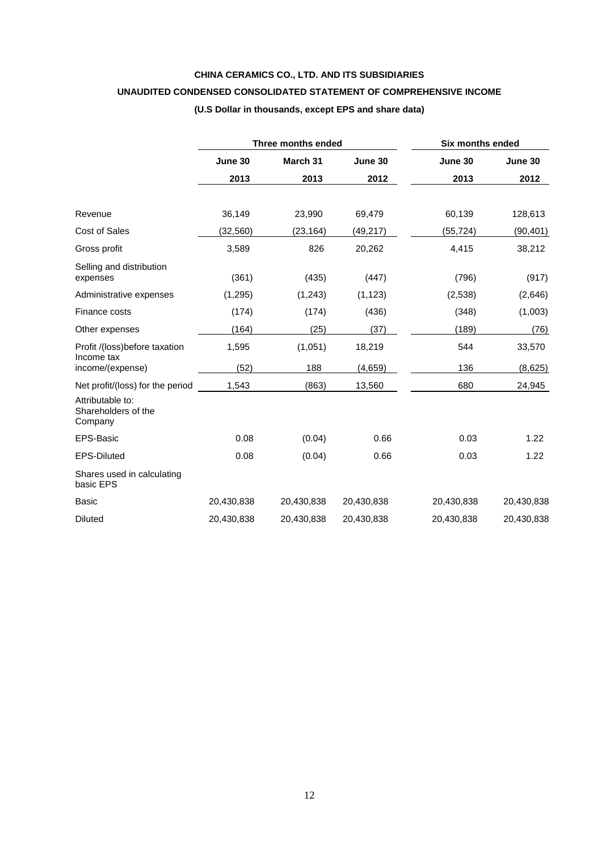# **CHINA CERAMICS CO., LTD. AND ITS SUBSIDIARIES**

# **UNAUDITED CONDENSED CONSOLIDATED STATEMENT OF COMPREHENSIVE INCOME**

# **(U.S Dollar in thousands, except EPS and share data)**

|                                                    |            | Three months ended | <b>Six months ended</b> |            |            |
|----------------------------------------------------|------------|--------------------|-------------------------|------------|------------|
|                                                    | June 30    | March 31           | June 30                 | June 30    | June 30    |
|                                                    | 2013       | 2013               | 2012                    | 2013       | 2012       |
|                                                    |            |                    |                         |            |            |
| Revenue                                            | 36,149     | 23,990             | 69,479                  | 60,139     | 128,613    |
| Cost of Sales                                      | (32, 560)  | (23, 164)          | (49, 217)               | (55, 724)  | (90, 401)  |
| Gross profit                                       | 3,589      | 826                | 20,262                  | 4,415      | 38,212     |
| Selling and distribution<br>expenses               | (361)      | (435)              | (447)                   | (796)      | (917)      |
| Administrative expenses                            | (1,295)    | (1,243)            | (1, 123)                | (2,538)    | (2,646)    |
| Finance costs                                      | (174)      | (174)              | (436)                   | (348)      | (1,003)    |
| Other expenses                                     | (164)      | (25)               | (37)                    | (189)      | (76)       |
| Profit /(loss)before taxation<br>Income tax        | 1,595      | (1,051)            | 18,219                  | 544        | 33,570     |
| income/(expense)                                   | (52)       | 188                | (4,659)                 | 136        | (8,625)    |
| Net profit/(loss) for the period                   | 1,543      | (863)              | 13,560                  | 680        | 24,945     |
| Attributable to:<br>Shareholders of the<br>Company |            |                    |                         |            |            |
| EPS-Basic                                          | 0.08       | (0.04)             | 0.66                    | 0.03       | 1.22       |
| <b>EPS-Diluted</b>                                 | 0.08       | (0.04)             | 0.66                    | 0.03       | 1.22       |
| Shares used in calculating<br>basic EPS            |            |                    |                         |            |            |
| <b>Basic</b>                                       | 20,430,838 | 20,430,838         | 20,430,838              | 20,430,838 | 20,430,838 |
| <b>Diluted</b>                                     | 20,430,838 | 20,430,838         | 20,430,838              | 20,430,838 | 20,430,838 |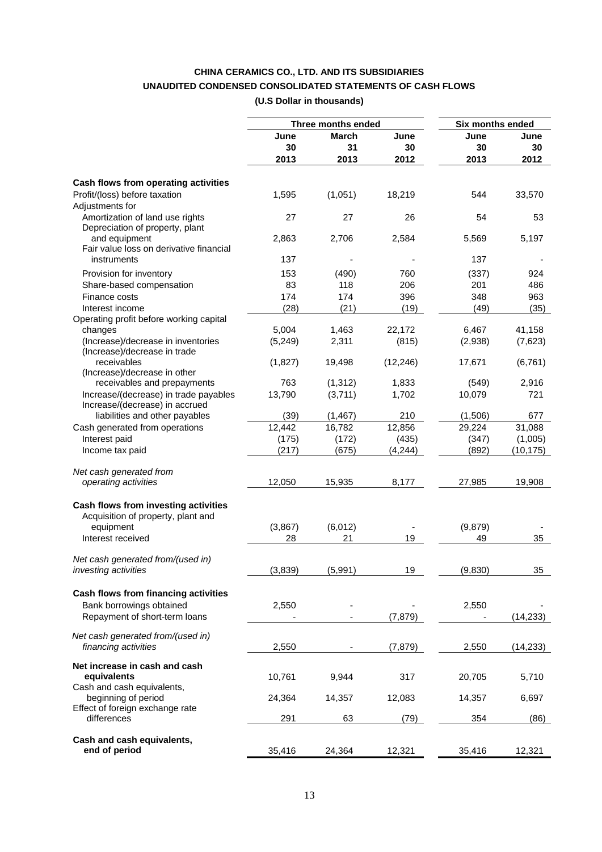# **CHINA CERAMICS CO., LTD. AND ITS SUBSIDIARIES UNAUDITED CONDENSED CONSOLIDATED STATEMENTS OF CASH FLOWS (U.S Dollar in thousands)**

|                                                                         |          | Three months ended |           | Six months ended |           |
|-------------------------------------------------------------------------|----------|--------------------|-----------|------------------|-----------|
|                                                                         | June     | <b>March</b>       | June      | June             | June      |
|                                                                         | 30       | 31                 | 30        | 30               | 30        |
|                                                                         | 2013     | 2013               | 2012      | 2013             | 2012      |
| Cash flows from operating activities                                    |          |                    |           |                  |           |
| Profit/(loss) before taxation<br>Adjustments for                        | 1,595    | (1,051)            | 18,219    | 544              | 33,570    |
| Amortization of land use rights<br>Depreciation of property, plant      | 27       | 27                 | 26        | 54               | 53        |
| and equipment<br>Fair value loss on derivative financial                | 2,863    | 2,706              | 2,584     | 5,569            | 5,197     |
| instruments                                                             | 137      |                    |           | 137              |           |
| Provision for inventory                                                 | 153      | (490)              | 760       | (337)            | 924       |
| Share-based compensation                                                | 83       | 118                | 206       | 201              | 486       |
| Finance costs                                                           | 174      | 174                | 396       | 348              | 963       |
| Interest income                                                         | (28)     | (21)               | (19)      | (49)             | (35)      |
| Operating profit before working capital                                 |          |                    |           |                  |           |
| changes                                                                 | 5,004    | 1,463              | 22,172    | 6,467            | 41,158    |
| (Increase)/decrease in inventories<br>(Increase)/decrease in trade      | (5, 249) | 2,311              | (815)     | (2,938)          | (7,623)   |
| receivables<br>(Increase)/decrease in other                             | (1,827)  | 19,498             | (12, 246) | 17,671           | (6, 761)  |
| receivables and prepayments                                             | 763      | (1, 312)           | 1,833     | (549)            | 2,916     |
| Increase/(decrease) in trade payables<br>Increase/(decrease) in accrued | 13,790   | (3,711)            | 1,702     | 10,079           | 721       |
| liabilities and other payables                                          | (39)     | (1, 467)           | 210       | (1,506)          | 677       |
| Cash generated from operations                                          | 12,442   | 16,782             | 12,856    | 29,224           | 31,088    |
| Interest paid                                                           | (175)    | (172)              | (435)     | (347)            | (1,005)   |
| Income tax paid                                                         | (217)    | (675)              | (4, 244)  | (892)            | (10, 175) |
|                                                                         |          |                    |           |                  |           |
| Net cash generated from<br>operating activities                         | 12,050   | 15,935             | 8,177     | 27,985           | 19,908    |
|                                                                         |          |                    |           |                  |           |
| Cash flows from investing activities                                    |          |                    |           |                  |           |
| Acquisition of property, plant and                                      |          |                    |           |                  |           |
| equipment                                                               | (3,867)  | (6,012)            |           | (9,879)          |           |
| Interest received                                                       | 28       | 21                 | 19        | 49               | 35        |
| Net cash generated from/(used in)                                       |          |                    |           |                  |           |
| investing activities                                                    | (3,839)  | (5,991)            | 19        | (9,830)          | 35        |
| Cash flows from financing activities                                    |          |                    |           |                  |           |
| Bank borrowings obtained                                                | 2,550    |                    |           | 2,550            |           |
| Repayment of short-term loans                                           |          |                    | (7, 879)  |                  | (14, 233) |
|                                                                         |          |                    |           |                  |           |
| Net cash generated from/(used in)<br>financing activities               | 2,550    |                    | (7, 879)  | 2,550            | (14,233)  |
| Net increase in cash and cash                                           |          |                    |           |                  |           |
| equivalents                                                             | 10,761   | 9,944              | 317       | 20,705           | 5,710     |
| Cash and cash equivalents,                                              |          |                    |           |                  |           |
| beginning of period                                                     | 24,364   | 14,357             | 12,083    | 14,357           | 6,697     |
| Effect of foreign exchange rate<br>differences                          | 291      | 63                 |           | 354              | (86)      |
|                                                                         |          |                    | (79)      |                  |           |
| Cash and cash equivalents,                                              |          |                    |           |                  |           |
| end of period                                                           | 35,416   | 24,364             | 12,321    | 35,416           | 12,321    |
|                                                                         |          |                    |           |                  |           |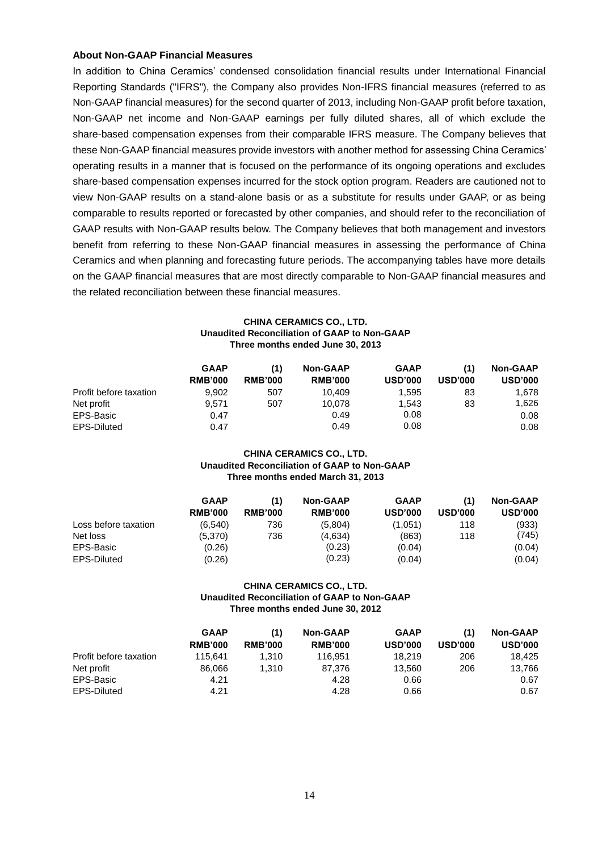## **About Non-GAAP Financial Measures**

In addition to China Ceramics' condensed consolidation financial results under International Financial Reporting Standards ("IFRS"), the Company also provides Non-IFRS financial measures (referred to as Non-GAAP financial measures) for the second quarter of 2013, including Non-GAAP profit before taxation, Non-GAAP net income and Non-GAAP earnings per fully diluted shares, all of which exclude the share-based compensation expenses from their comparable IFRS measure. The Company believes that these Non-GAAP financial measures provide investors with another method for assessing China Ceramics' operating results in a manner that is focused on the performance of its ongoing operations and excludes share-based compensation expenses incurred for the stock option program. Readers are cautioned not to view Non-GAAP results on a stand-alone basis or as a substitute for results under GAAP, or as being comparable to results reported or forecasted by other companies, and should refer to the reconciliation of GAAP results with Non-GAAP results below. The Company believes that both management and investors benefit from referring to these Non-GAAP financial measures in assessing the performance of China Ceramics and when planning and forecasting future periods. The accompanying tables have more details on the GAAP financial measures that are most directly comparable to Non-GAAP financial measures and the related reconciliation between these financial measures.

### **CHINA CERAMICS CO., LTD. Unaudited Reconciliation of GAAP to Non-GAAP Three months ended June 30, 2013**

|                        | <b>GAAP</b><br><b>RMB'000</b> | (1)<br><b>RMB'000</b> | <b>Non-GAAP</b><br><b>RMB'000</b> | <b>GAAP</b><br><b>USD'000</b> | (1)<br><b>USD'000</b> | <b>Non-GAAP</b><br><b>USD'000</b> |
|------------------------|-------------------------------|-----------------------|-----------------------------------|-------------------------------|-----------------------|-----------------------------------|
| Profit before taxation | 9.902                         | 507                   | 10.409                            | 1.595                         | 83                    | 1.678                             |
| Net profit             | 9.571                         | 507                   | 10,078                            | 1.543                         | 83                    | 1,626                             |
| EPS-Basic              | 0.47                          |                       | 0.49                              | 0.08                          |                       | 0.08                              |
| EPS-Diluted            | 0.47                          |                       | 0.49                              | 0.08                          |                       | 0.08                              |

#### **CHINA CERAMICS CO., LTD. Unaudited Reconciliation of GAAP to Non-GAAP Three months ended March 31, 2013**

|                      | <b>GAAP</b>    | (1)            | <b>Non-GAAP</b> | <b>GAAP</b>    | (1)            | <b>Non-GAAP</b> |
|----------------------|----------------|----------------|-----------------|----------------|----------------|-----------------|
|                      | <b>RMB'000</b> | <b>RMB'000</b> | <b>RMB'000</b>  | <b>USD'000</b> | <b>USD'000</b> | <b>USD'000</b>  |
| Loss before taxation | (6.540)        | 736            | (5,804)         | (1,051)        | 118            | (933)           |
| Net loss             | (5.370)        | 736            | (4,634)         | (863)          | 118            | (745)           |
| EPS-Basic            | (0.26)         |                | (0.23)          | (0.04)         |                | (0.04)          |
| EPS-Diluted          | (0.26)         |                | (0.23)          | (0.04)         |                | (0.04)          |

### **CHINA CERAMICS CO., LTD. Unaudited Reconciliation of GAAP to Non-GAAP Three months ended June 30, 2012**

|                        | <b>GAAP</b><br><b>RMB'000</b> | <b>RMB'000</b> | <b>Non-GAAP</b><br><b>RMB'000</b> | <b>GAAP</b><br><b>USD'000</b> | (1)<br><b>USD'000</b> | <b>Non-GAAP</b><br><b>USD'000</b> |
|------------------------|-------------------------------|----------------|-----------------------------------|-------------------------------|-----------------------|-----------------------------------|
| Profit before taxation | 115.641                       | 1.310          | 116.951                           | 18.219                        | 206                   | 18.425                            |
| Net profit             | 86.066                        | 1.310          | 87.376                            | 13.560                        | 206                   | 13,766                            |
| EPS-Basic              | 4.21                          |                | 4.28                              | 0.66                          |                       | 0.67                              |
| <b>EPS-Diluted</b>     | 4.21                          |                | 4.28                              | 0.66                          |                       | 0.67                              |